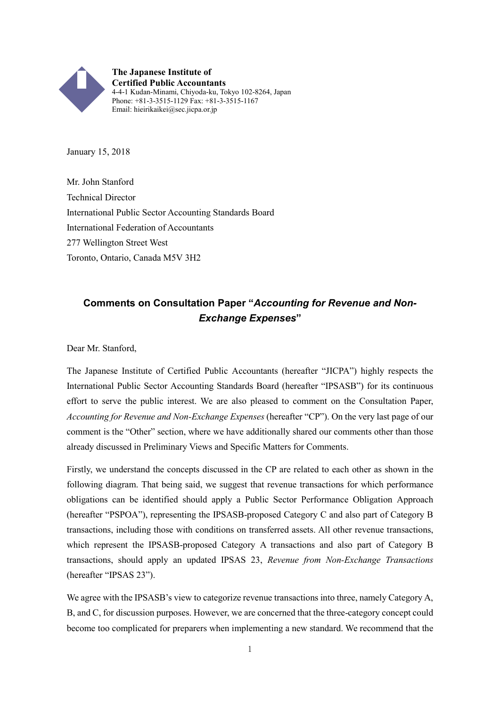

**The Japanese Institute of Certified Public Accountants** 4-4-1 Kudan-Minami, Chiyoda-ku, Tokyo 102-8264, Japan Phone: +81-3-3515-1129 Fax: +81-3-3515-1167 Email: hieirikaikei@sec.jicpa.or.jp

January 15, 2018

Mr. John Stanford Technical Director International Public Sector Accounting Standards Board International Federation of Accountants 277 Wellington Street West Toronto, Ontario, Canada M5V 3H2

# **Comments on Consultation Paper "***Accounting for Revenue and Non-Exchange Expenses***"**

Dear Mr. Stanford,

The Japanese Institute of Certified Public Accountants (hereafter "JICPA") highly respects the International Public Sector Accounting Standards Board (hereafter "IPSASB") for its continuous effort to serve the public interest. We are also pleased to comment on the Consultation Paper, *Accounting for Revenue and Non-Exchange Expenses* (hereafter "CP"). On the very last page of our comment is the "Other" section, where we have additionally shared our comments other than those already discussed in Preliminary Views and Specific Matters for Comments.

Firstly, we understand the concepts discussed in the CP are related to each other as shown in the following diagram. That being said, we suggest that revenue transactions for which performance obligations can be identified should apply a Public Sector Performance Obligation Approach (hereafter "PSPOA"), representing the IPSASB-proposed Category C and also part of Category B transactions, including those with conditions on transferred assets. All other revenue transactions, which represent the IPSASB-proposed Category A transactions and also part of Category B transactions, should apply an updated IPSAS 23, *Revenue from Non-Exchange Transactions* (hereafter "IPSAS 23").

We agree with the IPSASB's view to categorize revenue transactions into three, namely Category A, B, and C, for discussion purposes. However, we are concerned that the three-category concept could become too complicated for preparers when implementing a new standard. We recommend that the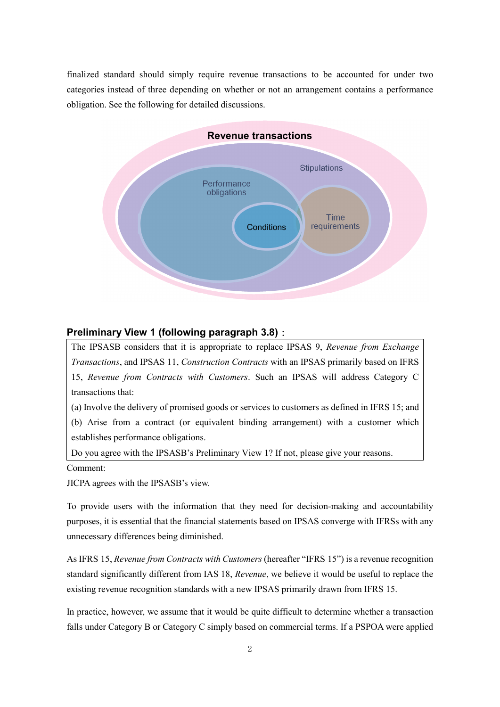finalized standard should simply require revenue transactions to be accounted for under two categories instead of three depending on whether or not an arrangement contains a performance obligation. See the following for detailed discussions.



### **Preliminary View 1 (following paragraph 3.8)**:

The IPSASB considers that it is appropriate to replace IPSAS 9, *Revenue from Exchange Transactions*, and IPSAS 11, *Construction Contracts* with an IPSAS primarily based on IFRS 15, *Revenue from Contracts with Customers*. Such an IPSAS will address Category C transactions that:

(a) Involve the delivery of promised goods or services to customers as defined in IFRS 15; and (b) Arise from a contract (or equivalent binding arrangement) with a customer which establishes performance obligations.

Do you agree with the IPSASB's Preliminary View 1? If not, please give your reasons.

Comment:

JICPA agrees with the IPSASB's view.

To provide users with the information that they need for decision-making and accountability purposes, it is essential that the financial statements based on IPSAS converge with IFRSs with any unnecessary differences being diminished.

As IFRS 15, *Revenue from Contracts with Customers* (hereafter "IFRS 15") is a revenue recognition standard significantly different from IAS 18, *Revenue*, we believe it would be useful to replace the existing revenue recognition standards with a new IPSAS primarily drawn from IFRS 15.

In practice, however, we assume that it would be quite difficult to determine whether a transaction falls under Category B or Category C simply based on commercial terms. If a PSPOA were applied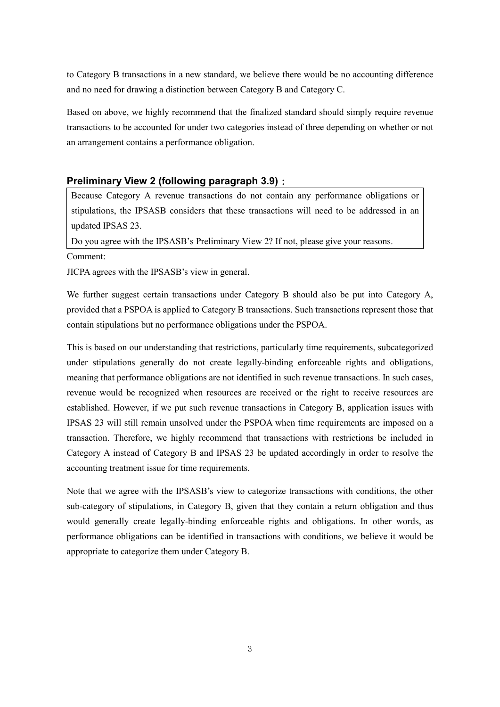to Category B transactions in a new standard, we believe there would be no accounting difference and no need for drawing a distinction between Category B and Category C.

Based on above, we highly recommend that the finalized standard should simply require revenue transactions to be accounted for under two categories instead of three depending on whether or not an arrangement contains a performance obligation.

# **Preliminary View 2 (following paragraph 3.9)**:

Because Category A revenue transactions do not contain any performance obligations or stipulations, the IPSASB considers that these transactions will need to be addressed in an updated IPSAS 23.

Do you agree with the IPSASB's Preliminary View 2? If not, please give your reasons.

JICPA agrees with the IPSASB's view in general.

We further suggest certain transactions under Category B should also be put into Category A, provided that a PSPOA is applied to Category B transactions. Such transactions represent those that contain stipulations but no performance obligations under the PSPOA.

This is based on our understanding that restrictions, particularly time requirements, subcategorized under stipulations generally do not create legally-binding enforceable rights and obligations, meaning that performance obligations are not identified in such revenue transactions. In such cases, revenue would be recognized when resources are received or the right to receive resources are established. However, if we put such revenue transactions in Category B, application issues with IPSAS 23 will still remain unsolved under the PSPOA when time requirements are imposed on a transaction. Therefore, we highly recommend that transactions with restrictions be included in Category A instead of Category B and IPSAS 23 be updated accordingly in order to resolve the accounting treatment issue for time requirements.

Note that we agree with the IPSASB's view to categorize transactions with conditions, the other sub-category of stipulations, in Category B, given that they contain a return obligation and thus would generally create legally-binding enforceable rights and obligations. In other words, as performance obligations can be identified in transactions with conditions, we believe it would be appropriate to categorize them under Category B.

Comment: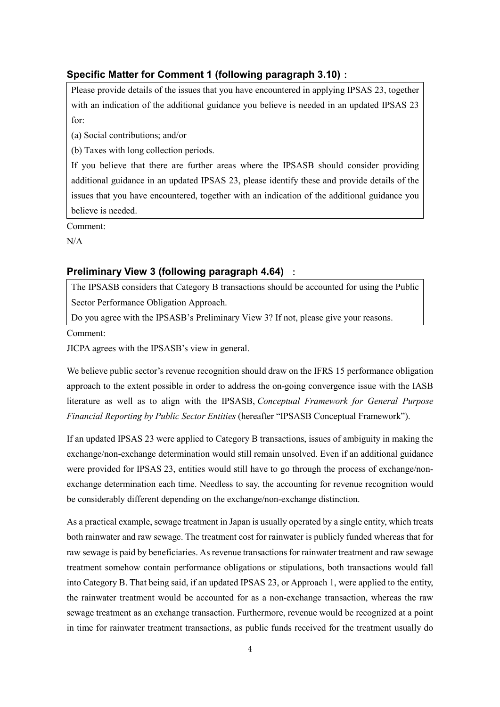# **Specific Matter for Comment 1 (following paragraph 3.10)**:

Please provide details of the issues that you have encountered in applying IPSAS 23, together with an indication of the additional guidance you believe is needed in an updated IPSAS 23 for:

(a) Social contributions; and/or

(b) Taxes with long collection periods.

If you believe that there are further areas where the IPSASB should consider providing additional guidance in an updated IPSAS 23, please identify these and provide details of the issues that you have encountered, together with an indication of the additional guidance you believe is needed.

Comment:

 $N/A$ 

## **Preliminary View 3 (following paragraph 4.64)** :

The IPSASB considers that Category B transactions should be accounted for using the Public Sector Performance Obligation Approach.

Do you agree with the IPSASB's Preliminary View 3? If not, please give your reasons.

Comment:

JICPA agrees with the IPSASB's view in general.

We believe public sector's revenue recognition should draw on the IFRS 15 performance obligation approach to the extent possible in order to address the on-going convergence issue with the IASB literature as well as to align with the IPSASB, *Conceptual Framework for General Purpose Financial Reporting by Public Sector Entities* (hereafter "IPSASB Conceptual Framework").

If an updated IPSAS 23 were applied to Category B transactions, issues of ambiguity in making the exchange/non-exchange determination would still remain unsolved. Even if an additional guidance were provided for IPSAS 23, entities would still have to go through the process of exchange/nonexchange determination each time. Needless to say, the accounting for revenue recognition would be considerably different depending on the exchange/non-exchange distinction.

As a practical example, sewage treatment in Japan is usually operated by a single entity, which treats both rainwater and raw sewage. The treatment cost for rainwater is publicly funded whereas that for raw sewage is paid by beneficiaries. As revenue transactions for rainwater treatment and raw sewage treatment somehow contain performance obligations or stipulations, both transactions would fall into Category B. That being said, if an updated IPSAS 23, or Approach 1, were applied to the entity, the rainwater treatment would be accounted for as a non-exchange transaction, whereas the raw sewage treatment as an exchange transaction. Furthermore, revenue would be recognized at a point in time for rainwater treatment transactions, as public funds received for the treatment usually do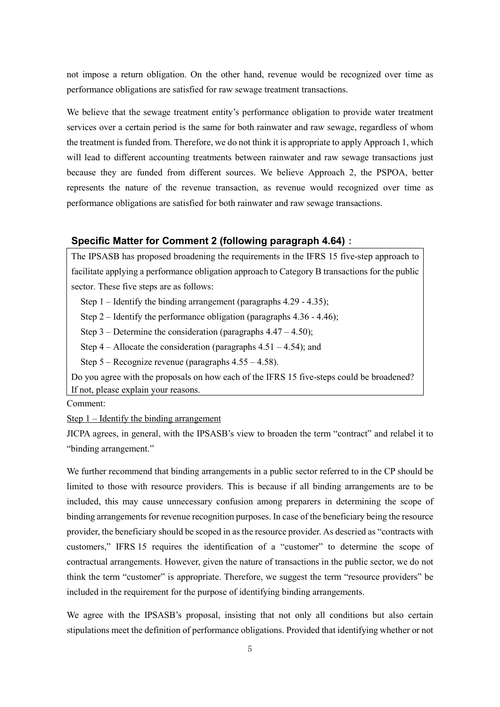not impose a return obligation. On the other hand, revenue would be recognized over time as performance obligations are satisfied for raw sewage treatment transactions.

We believe that the sewage treatment entity's performance obligation to provide water treatment services over a certain period is the same for both rainwater and raw sewage, regardless of whom the treatment is funded from. Therefore, we do not think it is appropriate to apply Approach 1, which will lead to different accounting treatments between rainwater and raw sewage transactions just because they are funded from different sources. We believe Approach 2, the PSPOA, better represents the nature of the revenue transaction, as revenue would recognized over time as performance obligations are satisfied for both rainwater and raw sewage transactions.

## **Specific Matter for Comment 2 (following paragraph 4.64)**:

The IPSASB has proposed broadening the requirements in the IFRS 15 five-step approach to facilitate applying a performance obligation approach to Category B transactions for the public sector. These five steps are as follows:

Step 1 – Identify the binding arrangement (paragraphs 4.29 - 4.35);

Step 2 – Identify the performance obligation (paragraphs  $4.36 - 4.46$ );

Step 3 – Determine the consideration (paragraphs  $4.47 - 4.50$ );

Step  $4 -$  Allocate the consideration (paragraphs  $4.51 - 4.54$ ); and

Step 5 – Recognize revenue (paragraphs 4.55 – 4.58).

Do you agree with the proposals on how each of the IFRS 15 five-steps could be broadened? If not, please explain your reasons.

Comment:

Step 1 – Identify the binding arrangement

JICPA agrees, in general, with the IPSASB's view to broaden the term "contract" and relabel it to "binding arrangement."

We further recommend that binding arrangements in a public sector referred to in the CP should be limited to those with resource providers. This is because if all binding arrangements are to be included, this may cause unnecessary confusion among preparers in determining the scope of binding arrangements for revenue recognition purposes. In case of the beneficiary being the resource provider, the beneficiary should be scoped in as the resource provider. As descried as "contracts with customers," IFRS 15 requires the identification of a "customer" to determine the scope of contractual arrangements. However, given the nature of transactions in the public sector, we do not think the term "customer" is appropriate. Therefore, we suggest the term "resource providers" be included in the requirement for the purpose of identifying binding arrangements.

We agree with the IPSASB's proposal, insisting that not only all conditions but also certain stipulations meet the definition of performance obligations. Provided that identifying whether or not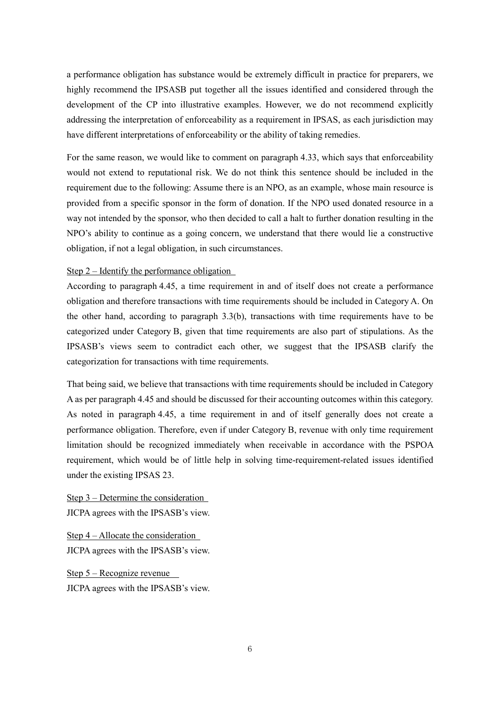a performance obligation has substance would be extremely difficult in practice for preparers, we highly recommend the IPSASB put together all the issues identified and considered through the development of the CP into illustrative examples. However, we do not recommend explicitly addressing the interpretation of enforceability as a requirement in IPSAS, as each jurisdiction may have different interpretations of enforceability or the ability of taking remedies.

For the same reason, we would like to comment on paragraph 4.33, which says that enforceability would not extend to reputational risk. We do not think this sentence should be included in the requirement due to the following: Assume there is an NPO, as an example, whose main resource is provided from a specific sponsor in the form of donation. If the NPO used donated resource in a way not intended by the sponsor, who then decided to call a halt to further donation resulting in the NPO's ability to continue as a going concern, we understand that there would lie a constructive obligation, if not a legal obligation, in such circumstances.

### Step 2 – Identify the performance obligation

According to paragraph 4.45, a time requirement in and of itself does not create a performance obligation and therefore transactions with time requirements should be included in Category A. On the other hand, according to paragraph 3.3(b), transactions with time requirements have to be categorized under Category B, given that time requirements are also part of stipulations. As the IPSASB's views seem to contradict each other, we suggest that the IPSASB clarify the categorization for transactions with time requirements.

That being said, we believe that transactions with time requirements should be included in Category A as per paragraph 4.45 and should be discussed for their accounting outcomes within this category. As noted in paragraph 4.45, a time requirement in and of itself generally does not create a performance obligation. Therefore, even if under Category B, revenue with only time requirement limitation should be recognized immediately when receivable in accordance with the PSPOA requirement, which would be of little help in solving time-requirement-related issues identified under the existing IPSAS 23.

Step 3 – Determine the consideration JICPA agrees with the IPSASB's view.

Step 4 – Allocate the consideration JICPA agrees with the IPSASB's view.

Step 5 – Recognize revenue JICPA agrees with the IPSASB's view.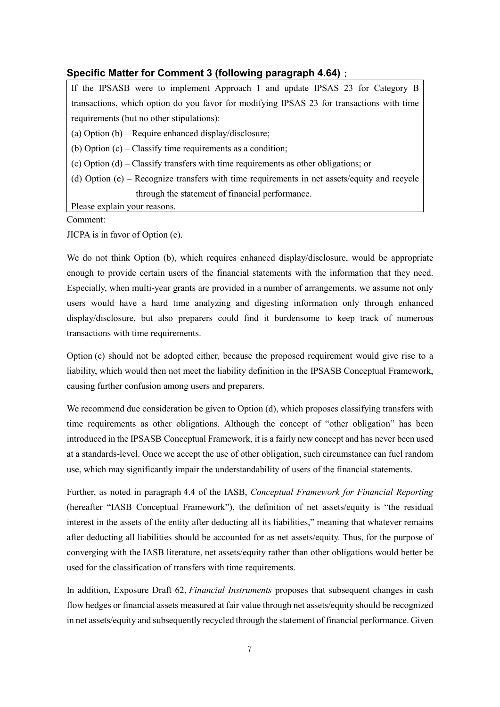# **Specific Matter for Comment 3 (following paragraph 4.64)**:

If the IPSASB were to implement Approach 1 and update IPSAS 23 for Category B transactions, which option do you favor for modifying IPSAS 23 for transactions with time requirements (but no other stipulations):

(a) Option (b) – Require enhanced display/disclosure;

(b) Option (c) – Classify time requirements as a condition;

(c) Option (d) – Classify transfers with time requirements as other obligations; or

(d) Option (e) – Recognize transfers with time requirements in net assets/equity and recycle through the statement of financial performance.

Please explain your reasons.

Comment:

JICPA is in favor of Option (e).

We do not think Option (b), which requires enhanced display/disclosure, would be appropriate enough to provide certain users of the financial statements with the information that they need. Especially, when multi-year grants are provided in a number of arrangements, we assume not only users would have a hard time analyzing and digesting information only through enhanced display/disclosure, but also preparers could find it burdensome to keep track of numerous transactions with time requirements.

Option (c) should not be adopted either, because the proposed requirement would give rise to a liability, which would then not meet the liability definition in the IPSASB Conceptual Framework, causing further confusion among users and preparers.

We recommend due consideration be given to Option (d), which proposes classifying transfers with time requirements as other obligations. Although the concept of "other obligation" has been introduced in the IPSASB Conceptual Framework, it is a fairly new concept and has never been used at a standards-level. Once we accept the use of other obligation, such circumstance can fuel random use, which may significantly impair the understandability of users of the financial statements.

Further, as noted in paragraph 4.4 of the IASB, *Conceptual Framework for Financial Reporting* (hereafter "IASB Conceptual Framework"), the definition of net assets/equity is "the residual interest in the assets of the entity after deducting all its liabilities," meaning that whatever remains after deducting all liabilities should be accounted for as net assets/equity. Thus, for the purpose of converging with the IASB literature, net assets/equity rather than other obligations would better be used for the classification of transfers with time requirements.

In addition, Exposure Draft 62, *Financial Instruments* proposes that subsequent changes in cash flow hedges or financial assets measured at fair value through net assets/equity should be recognized in net assets/equity and subsequently recycled through the statement of financial performance. Given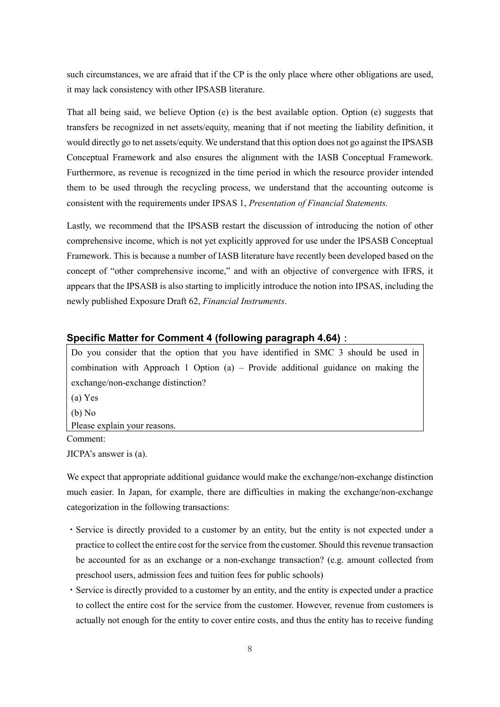such circumstances, we are afraid that if the CP is the only place where other obligations are used, it may lack consistency with other IPSASB literature.

That all being said, we believe Option (e) is the best available option. Option (e) suggests that transfers be recognized in net assets/equity, meaning that if not meeting the liability definition, it would directly go to net assets/equity. We understand that this option does not go against the IPSASB Conceptual Framework and also ensures the alignment with the IASB Conceptual Framework. Furthermore, as revenue is recognized in the time period in which the resource provider intended them to be used through the recycling process, we understand that the accounting outcome is consistent with the requirements under IPSAS 1, *Presentation of Financial Statements.*

Lastly, we recommend that the IPSASB restart the discussion of introducing the notion of other comprehensive income, which is not yet explicitly approved for use under the IPSASB Conceptual Framework. This is because a number of IASB literature have recently been developed based on the concept of "other comprehensive income," and with an objective of convergence with IFRS, it appears that the IPSASB is also starting to implicitly introduce the notion into IPSAS, including the newly published Exposure Draft 62, *Financial Instruments*.

## **Specific Matter for Comment 4 (following paragraph 4.64)**:

Do you consider that the option that you have identified in SMC 3 should be used in combination with Approach 1 Option (a) – Provide additional guidance on making the exchange/non-exchange distinction?

(a) Yes (b) No Please explain your reasons.

Comment:

JICPA's answer is (a).

We expect that appropriate additional guidance would make the exchange/non-exchange distinction much easier. In Japan, for example, there are difficulties in making the exchange/non-exchange categorization in the following transactions:

- ・Service is directly provided to a customer by an entity, but the entity is not expected under a practice to collect the entire cost for the service from the customer. Should this revenue transaction be accounted for as an exchange or a non-exchange transaction? (e.g. amount collected from preschool users, admission fees and tuition fees for public schools)
- ・Service is directly provided to a customer by an entity, and the entity is expected under a practice to collect the entire cost for the service from the customer. However, revenue from customers is actually not enough for the entity to cover entire costs, and thus the entity has to receive funding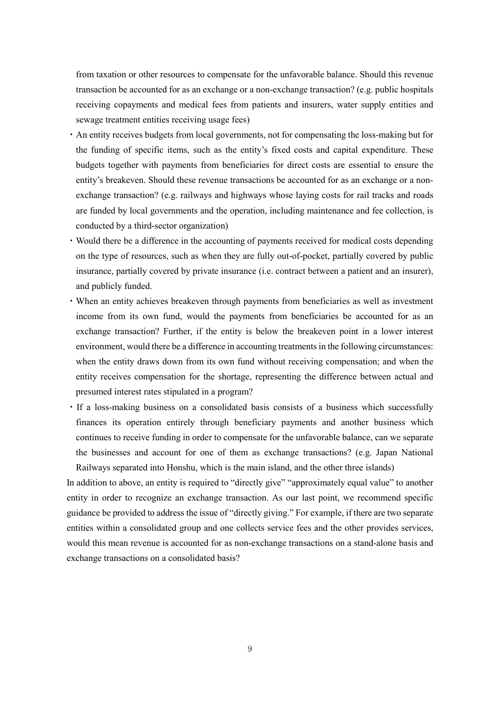from taxation or other resources to compensate for the unfavorable balance. Should this revenue transaction be accounted for as an exchange or a non-exchange transaction? (e.g. public hospitals receiving copayments and medical fees from patients and insurers, water supply entities and sewage treatment entities receiving usage fees)

- ・An entity receives budgets from local governments, not for compensating the loss-making but for the funding of specific items, such as the entity's fixed costs and capital expenditure. These budgets together with payments from beneficiaries for direct costs are essential to ensure the entity's breakeven. Should these revenue transactions be accounted for as an exchange or a nonexchange transaction? (e.g. railways and highways whose laying costs for rail tracks and roads are funded by local governments and the operation, including maintenance and fee collection, is conducted by a third-sector organization)
- ・Would there be a difference in the accounting of payments received for medical costs depending on the type of resources, such as when they are fully out-of-pocket, partially covered by public insurance, partially covered by private insurance (i.e. contract between a patient and an insurer), and publicly funded.
- ・When an entity achieves breakeven through payments from beneficiaries as well as investment income from its own fund, would the payments from beneficiaries be accounted for as an exchange transaction? Further, if the entity is below the breakeven point in a lower interest environment, would there be a difference in accounting treatments in the following circumstances: when the entity draws down from its own fund without receiving compensation; and when the entity receives compensation for the shortage, representing the difference between actual and presumed interest rates stipulated in a program?
- ・If a loss-making business on a consolidated basis consists of a business which successfully finances its operation entirely through beneficiary payments and another business which continues to receive funding in order to compensate for the unfavorable balance, can we separate the businesses and account for one of them as exchange transactions? (e.g. Japan National Railways separated into Honshu, which is the main island, and the other three islands)

In addition to above, an entity is required to "directly give" "approximately equal value" to another entity in order to recognize an exchange transaction. As our last point, we recommend specific guidance be provided to address the issue of "directly giving." For example, if there are two separate entities within a consolidated group and one collects service fees and the other provides services, would this mean revenue is accounted for as non-exchange transactions on a stand-alone basis and exchange transactions on a consolidated basis?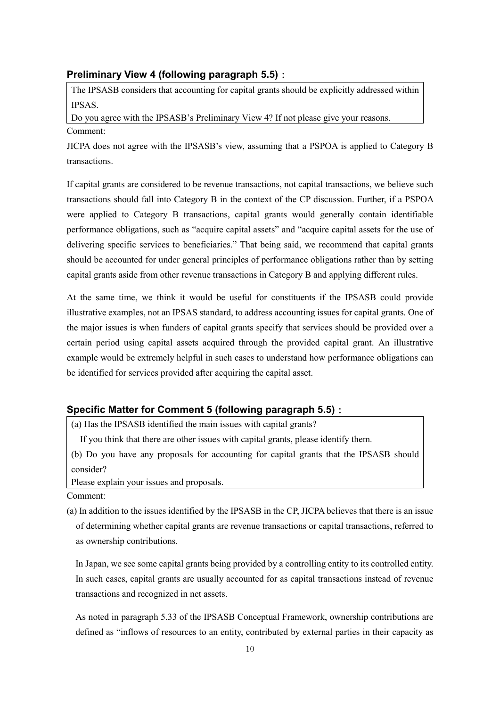### **Preliminary View 4 (following paragraph 5.5)**:

The IPSASB considers that accounting for capital grants should be explicitly addressed within IPSAS.

Do you agree with the IPSASB's Preliminary View 4? If not please give your reasons. Comment:

JICPA does not agree with the IPSASB's view, assuming that a PSPOA is applied to Category B transactions.

If capital grants are considered to be revenue transactions, not capital transactions, we believe such transactions should fall into Category B in the context of the CP discussion. Further, if a PSPOA were applied to Category B transactions, capital grants would generally contain identifiable performance obligations, such as "acquire capital assets" and "acquire capital assets for the use of delivering specific services to beneficiaries." That being said, we recommend that capital grants should be accounted for under general principles of performance obligations rather than by setting capital grants aside from other revenue transactions in Category B and applying different rules.

At the same time, we think it would be useful for constituents if the IPSASB could provide illustrative examples, not an IPSAS standard, to address accounting issues for capital grants. One of the major issues is when funders of capital grants specify that services should be provided over a certain period using capital assets acquired through the provided capital grant. An illustrative example would be extremely helpful in such cases to understand how performance obligations can be identified for services provided after acquiring the capital asset.

# **Specific Matter for Comment 5 (following paragraph 5.5)**:

(a) Has the IPSASB identified the main issues with capital grants?

If you think that there are other issues with capital grants, please identify them.

(b) Do you have any proposals for accounting for capital grants that the IPSASB should consider?

Please explain your issues and proposals.

Comment:

(a) In addition to the issues identified by the IPSASB in the CP, JICPA believes that there is an issue of determining whether capital grants are revenue transactions or capital transactions, referred to as ownership contributions.

In Japan, we see some capital grants being provided by a controlling entity to its controlled entity. In such cases, capital grants are usually accounted for as capital transactions instead of revenue transactions and recognized in net assets.

As noted in paragraph 5.33 of the IPSASB Conceptual Framework, ownership contributions are defined as "inflows of resources to an entity, contributed by external parties in their capacity as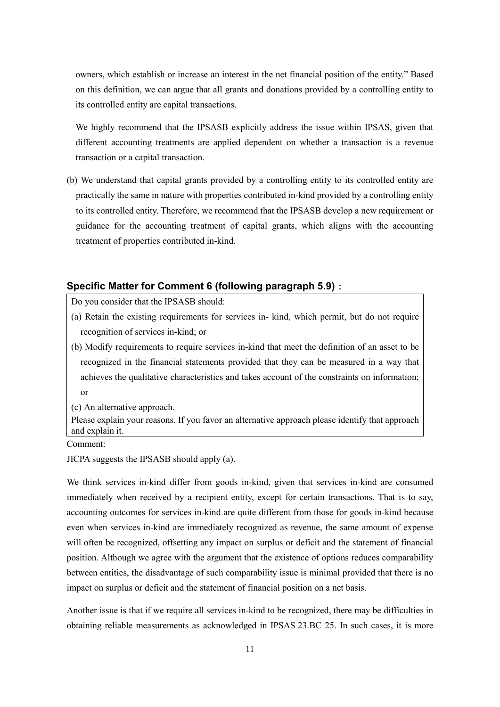owners, which establish or increase an interest in the net financial position of the entity." Based on this definition, we can argue that all grants and donations provided by a controlling entity to its controlled entity are capital transactions.

We highly recommend that the IPSASB explicitly address the issue within IPSAS, given that different accounting treatments are applied dependent on whether a transaction is a revenue transaction or a capital transaction.

(b) We understand that capital grants provided by a controlling entity to its controlled entity are practically the same in nature with properties contributed in-kind provided by a controlling entity to its controlled entity. Therefore, we recommend that the IPSASB develop a new requirement or guidance for the accounting treatment of capital grants, which aligns with the accounting treatment of properties contributed in-kind.

## **Specific Matter for Comment 6 (following paragraph 5.9)**:

Do you consider that the IPSASB should:

- (a) Retain the existing requirements for services in- kind, which permit, but do not require recognition of services in-kind; or
- (b) Modify requirements to require services in-kind that meet the definition of an asset to be recognized in the financial statements provided that they can be measured in a way that achieves the qualitative characteristics and takes account of the constraints on information; or
- (c) An alternative approach.

Please explain your reasons. If you favor an alternative approach please identify that approach and explain it.

Comment:

JICPA suggests the IPSASB should apply (a).

We think services in-kind differ from goods in-kind, given that services in-kind are consumed immediately when received by a recipient entity, except for certain transactions. That is to say, accounting outcomes for services in-kind are quite different from those for goods in-kind because even when services in-kind are immediately recognized as revenue, the same amount of expense will often be recognized, offsetting any impact on surplus or deficit and the statement of financial position. Although we agree with the argument that the existence of options reduces comparability between entities, the disadvantage of such comparability issue is minimal provided that there is no impact on surplus or deficit and the statement of financial position on a net basis.

Another issue is that if we require all services in-kind to be recognized, there may be difficulties in obtaining reliable measurements as acknowledged in IPSAS 23.BC 25. In such cases, it is more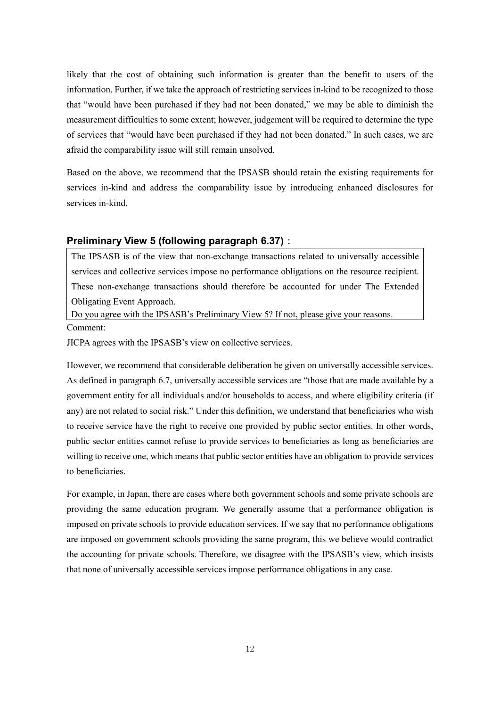likely that the cost of obtaining such information is greater than the benefit to users of the information. Further, if we take the approach of restricting services in-kind to be recognized to those that "would have been purchased if they had not been donated," we may be able to diminish the measurement difficulties to some extent; however, judgement will be required to determine the type of services that "would have been purchased if they had not been donated." In such cases, we are afraid the comparability issue will still remain unsolved.

Based on the above, we recommend that the IPSASB should retain the existing requirements for services in-kind and address the comparability issue by introducing enhanced disclosures for services in-kind.

#### **Preliminary View 5 (following paragraph 6.37)**:

The IPSASB is of the view that non-exchange transactions related to universally accessible services and collective services impose no performance obligations on the resource recipient. These non-exchange transactions should therefore be accounted for under The Extended Obligating Event Approach.

Do you agree with the IPSASB's Preliminary View 5? If not, please give your reasons. Comment:

JICPA agrees with the IPSASB's view on collective services.

However, we recommend that considerable deliberation be given on universally accessible services. As defined in paragraph 6.7, universally accessible services are "those that are made available by a government entity for all individuals and/or households to access, and where eligibility criteria (if any) are not related to social risk." Under this definition, we understand that beneficiaries who wish to receive service have the right to receive one provided by public sector entities. In other words, public sector entities cannot refuse to provide services to beneficiaries as long as beneficiaries are willing to receive one, which means that public sector entities have an obligation to provide services to beneficiaries.

For example, in Japan, there are cases where both government schools and some private schools are providing the same education program. We generally assume that a performance obligation is imposed on private schools to provide education services. If we say that no performance obligations are imposed on government schools providing the same program, this we believe would contradict the accounting for private schools. Therefore, we disagree with the IPSASB's view, which insists that none of universally accessible services impose performance obligations in any case.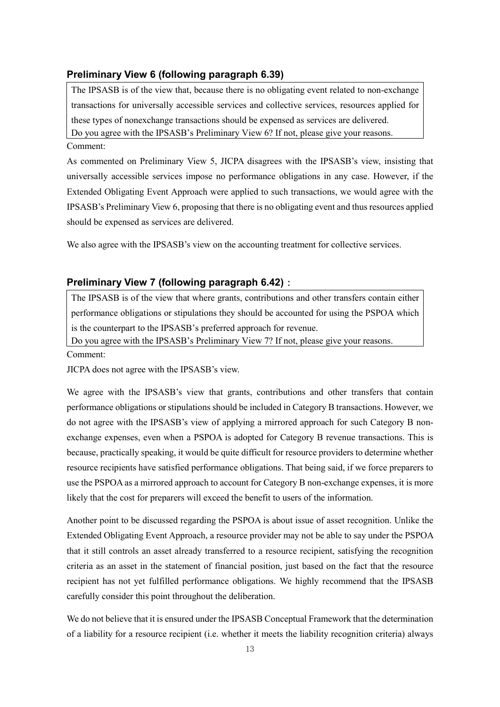### **Preliminary View 6 (following paragraph 6.39)**

The IPSASB is of the view that, because there is no obligating event related to non-exchange transactions for universally accessible services and collective services, resources applied for these types of nonexchange transactions should be expensed as services are delivered. Do you agree with the IPSASB's Preliminary View 6? If not, please give your reasons. Comment:

As commented on Preliminary View 5, JICPA disagrees with the IPSASB's view, insisting that universally accessible services impose no performance obligations in any case. However, if the Extended Obligating Event Approach were applied to such transactions, we would agree with the IPSASB's Preliminary View 6, proposing that there is no obligating event and thus resources applied should be expensed as services are delivered.

We also agree with the IPSASB's view on the accounting treatment for collective services.

### **Preliminary View 7 (following paragraph 6.42)**:

The IPSASB is of the view that where grants, contributions and other transfers contain either performance obligations or stipulations they should be accounted for using the PSPOA which is the counterpart to the IPSASB's preferred approach for revenue.

Do you agree with the IPSASB's Preliminary View 7? If not, please give your reasons.

Comment:

JICPA does not agree with the IPSASB's view.

We agree with the IPSASB's view that grants, contributions and other transfers that contain performance obligations or stipulations should be included in Category B transactions. However, we do not agree with the IPSASB's view of applying a mirrored approach for such Category B nonexchange expenses, even when a PSPOA is adopted for Category B revenue transactions. This is because, practically speaking, it would be quite difficult for resource providers to determine whether resource recipients have satisfied performance obligations. That being said, if we force preparers to use the PSPOA as a mirrored approach to account for Category B non-exchange expenses, it is more likely that the cost for preparers will exceed the benefit to users of the information.

Another point to be discussed regarding the PSPOA is about issue of asset recognition. Unlike the Extended Obligating Event Approach, a resource provider may not be able to say under the PSPOA that it still controls an asset already transferred to a resource recipient, satisfying the recognition criteria as an asset in the statement of financial position, just based on the fact that the resource recipient has not yet fulfilled performance obligations. We highly recommend that the IPSASB carefully consider this point throughout the deliberation.

We do not believe that it is ensured under the IPSASB Conceptual Framework that the determination of a liability for a resource recipient (i.e. whether it meets the liability recognition criteria) always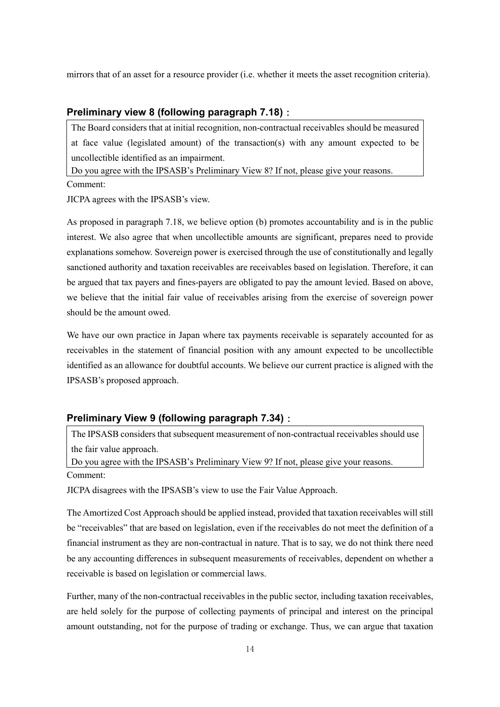mirrors that of an asset for a resource provider (i.e. whether it meets the asset recognition criteria).

## **Preliminary view 8 (following paragraph 7.18)**:

The Board considers that at initial recognition, non-contractual receivables should be measured at face value (legislated amount) of the transaction(s) with any amount expected to be uncollectible identified as an impairment.

Do you agree with the IPSASB's Preliminary View 8? If not, please give your reasons. Comment:

JICPA agrees with the IPSASB's view.

As proposed in paragraph 7.18, we believe option (b) promotes accountability and is in the public interest. We also agree that when uncollectible amounts are significant, prepares need to provide explanations somehow. Sovereign power is exercised through the use of constitutionally and legally sanctioned authority and taxation receivables are receivables based on legislation. Therefore, it can be argued that tax payers and fines-payers are obligated to pay the amount levied. Based on above, we believe that the initial fair value of receivables arising from the exercise of sovereign power should be the amount owed.

We have our own practice in Japan where tax payments receivable is separately accounted for as receivables in the statement of financial position with any amount expected to be uncollectible identified as an allowance for doubtful accounts. We believe our current practice is aligned with the IPSASB's proposed approach.

# **Preliminary View 9 (following paragraph 7.34)**:

The IPSASB considers that subsequent measurement of non-contractual receivables should use the fair value approach.

Do you agree with the IPSASB's Preliminary View 9? If not, please give your reasons. Comment:

JICPA disagrees with the IPSASB's view to use the Fair Value Approach.

The Amortized Cost Approach should be applied instead, provided that taxation receivables will still be "receivables" that are based on legislation, even if the receivables do not meet the definition of a financial instrument as they are non-contractual in nature. That is to say, we do not think there need be any accounting differences in subsequent measurements of receivables, dependent on whether a receivable is based on legislation or commercial laws.

Further, many of the non-contractual receivables in the public sector, including taxation receivables, are held solely for the purpose of collecting payments of principal and interest on the principal amount outstanding, not for the purpose of trading or exchange. Thus, we can argue that taxation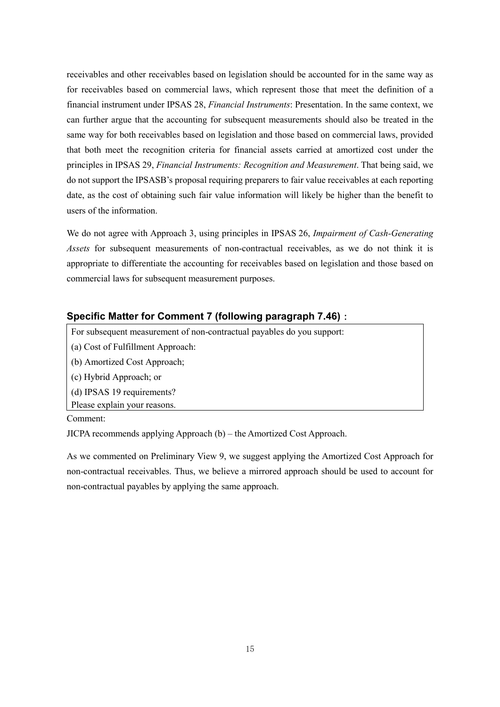receivables and other receivables based on legislation should be accounted for in the same way as for receivables based on commercial laws, which represent those that meet the definition of a financial instrument under IPSAS 28, *Financial Instruments*: Presentation. In the same context, we can further argue that the accounting for subsequent measurements should also be treated in the same way for both receivables based on legislation and those based on commercial laws, provided that both meet the recognition criteria for financial assets carried at amortized cost under the principles in IPSAS 29, *Financial Instruments: Recognition and Measurement*. That being said, we do not support the IPSASB's proposal requiring preparers to fair value receivables at each reporting date, as the cost of obtaining such fair value information will likely be higher than the benefit to users of the information.

We do not agree with Approach 3, using principles in IPSAS 26, *Impairment of Cash-Generating Assets* for subsequent measurements of non-contractual receivables, as we do not think it is appropriate to differentiate the accounting for receivables based on legislation and those based on commercial laws for subsequent measurement purposes.

# **Specific Matter for Comment 7 (following paragraph 7.46)**:

For subsequent measurement of non-contractual payables do you support:

- (a) Cost of Fulfillment Approach:
- (b) Amortized Cost Approach;
- (c) Hybrid Approach; or
- (d) IPSAS 19 requirements?
- Please explain your reasons.

Comment:

JICPA recommends applying Approach (b) – the Amortized Cost Approach.

As we commented on Preliminary View 9, we suggest applying the Amortized Cost Approach for non-contractual receivables. Thus, we believe a mirrored approach should be used to account for non-contractual payables by applying the same approach.